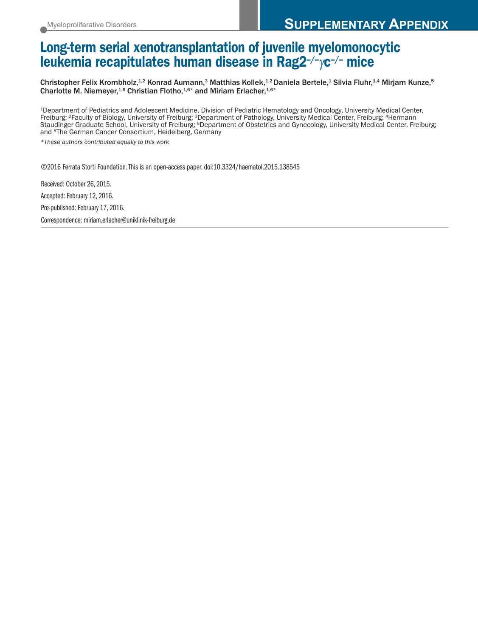## **Long-term serial xenotransplantation of juvenile myelomonocytic leukemia recapitulates human disease in Rag2–/–**γ**c–/– mice**

Christopher Felix Krombholz, $^{1,2}$  Konrad Aumann, $^3$  Matthias Kollek, $^{1,2}$ Daniela Bertele, $^4$  Silvia Fluhr, $^{1,4}$  Mirjam Kunze, $^5$ Charlotte M. Niemeyer,<sup>1,6</sup> Christian Flotho,<sup>1,6\*</sup> and Miriam Erlacher,<sup>1,6\*</sup>

1Department of Pediatrics and Adolescent Medicine, Division of Pediatric Hematology and Oncology, University Medical Center, Freiburg; 2Faculty of Biology, University of Freiburg; 3Department of Pathology, University Medical Center, Freiburg; 4Hermann Staudinger Graduate School, University of Freiburg; 5Department of Obstetrics and Gynecology, University Medical Center, Freiburg; and 6The German Cancer Consortium, Heidelberg, Germany

*\*These authors contributed equally to this work*

©2016 Ferrata Storti Foundation.This is an open-access paper. doi:10.3324/haematol.2015.138545

Received: October 26, 2015. Accepted: February 12, 2016. Pre-published: February 17, 2016. Correspondence: miriam.erlacher@uniklinik-freiburg.de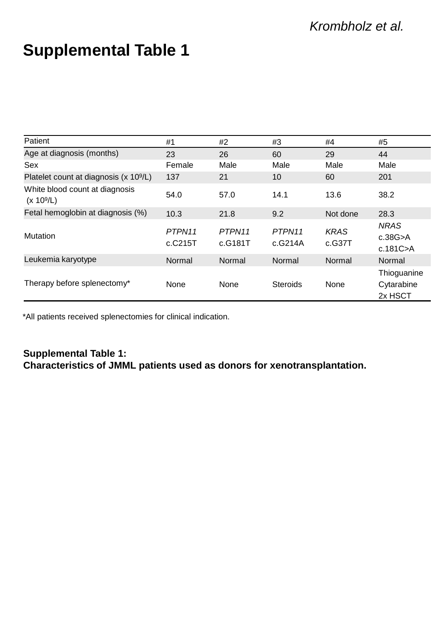# **Supplemental Table 1**

| Patient                                                  | #1                   | #2                | #3                | #4                    | #5                                   |
|----------------------------------------------------------|----------------------|-------------------|-------------------|-----------------------|--------------------------------------|
| Age at diagnosis (months)                                | 23                   | 26                | 60                | 29                    | 44                                   |
| Sex                                                      | Female               | Male              | Male              | Male                  | Male                                 |
| Platelet count at diagnosis (x 10 <sup>9</sup> /L)       | 137                  | 21                | 10                | 60                    | 201                                  |
| White blood count at diagnosis<br>(x 10 <sup>9</sup> /L) | 54.0                 | 57.0              | 14.1              | 13.6                  | 38.2                                 |
| Fetal hemoglobin at diagnosis (%)                        | 10.3                 | 21.8              | 9.2               | Not done              | 28.3                                 |
| Mutation                                                 | PTPN11<br>$c$ .C215T | PTPN11<br>c.G181T | PTPN11<br>c.G214A | <b>KRAS</b><br>c.G37T | <b>NRAS</b><br>c.38G>A<br>c.181C>A   |
| Leukemia karyotype                                       | Normal               | Normal            | Normal            | Normal                | Normal                               |
| Therapy before splenectomy*                              | None                 | None              | Steroids          | None                  | Thioguanine<br>Cytarabine<br>2x HSCT |

\*All patients received splenectomies for clinical indication.

### **Supplemental Table 1: Characteristics of JMML patients used as donors for xenotransplantation.**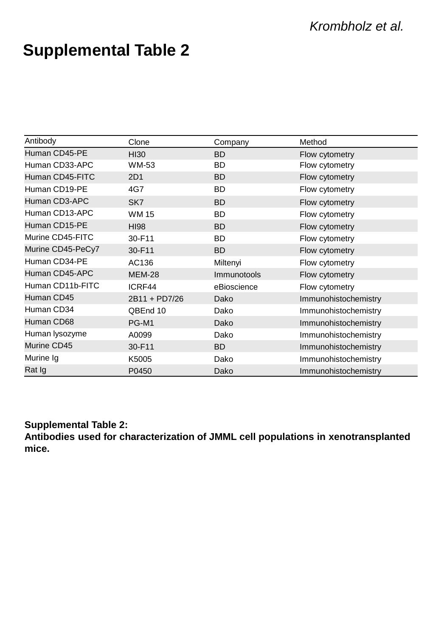# **Supplemental Table 2**

| Antibody          | Clone         | Company            | Method               |
|-------------------|---------------|--------------------|----------------------|
| Human CD45-PE     | <b>HI30</b>   | <b>BD</b>          | Flow cytometry       |
| Human CD33-APC    | WM-53         | BD                 | Flow cytometry       |
| Human CD45-FITC   | 2D1           | <b>BD</b>          | Flow cytometry       |
| Human CD19-PE     | 4G7           | BD                 | Flow cytometry       |
| Human CD3-APC     | SK7           | <b>BD</b>          | Flow cytometry       |
| Human CD13-APC    | <b>WM15</b>   | BD                 | Flow cytometry       |
| Human CD15-PE     | <b>HI98</b>   | <b>BD</b>          | Flow cytometry       |
| Murine CD45-FITC  | 30-F11        | <b>BD</b>          | Flow cytometry       |
| Murine CD45-PeCy7 | 30-F11        | <b>BD</b>          | Flow cytometry       |
| Human CD34-PE     | AC136         | Miltenyi           | Flow cytometry       |
| Human CD45-APC    | <b>MEM-28</b> | <b>Immunotools</b> | Flow cytometry       |
| Human CD11b-FITC  | ICRF44        | eBioscience        | Flow cytometry       |
| Human CD45        | 2B11 + PD7/26 | Dako               | Immunohistochemistry |
| Human CD34        | QBEnd 10      | Dako               | Immunohistochemistry |
| Human CD68        | PG-M1         | Dako               | Immunohistochemistry |
| Human lysozyme    | A0099         | Dako               | Immunohistochemistry |
| Murine CD45       | 30-F11        | <b>BD</b>          | Immunohistochemistry |
| Murine Ig         | K5005         | Dako               | Immunohistochemistry |
| Rat Ig            | P0450         | Dako               | Immunohistochemistry |

### **Supplemental Table 2:**

**Antibodies used for characterization of JMML cell populations in xenotransplanted mice.**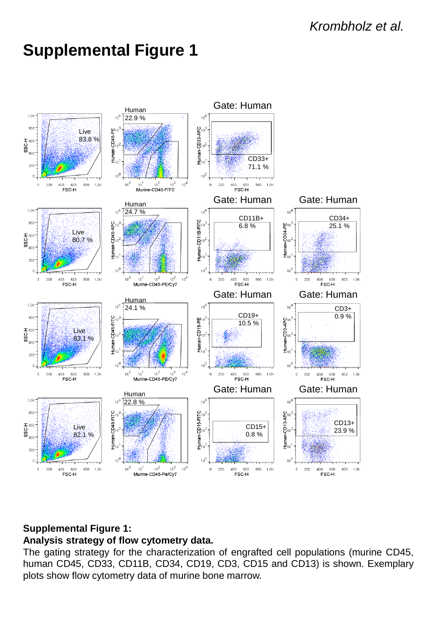

### **Supplemental Figure 1: Analysis strategy of flow cytometry data.**

The gating strategy for the characterization of engrafted cell populations (murine CD45, human CD45, CD33, CD11B, CD34, CD19, CD3, CD15 and CD13) is shown. Exemplary plots show flow cytometry data of murine bone marrow.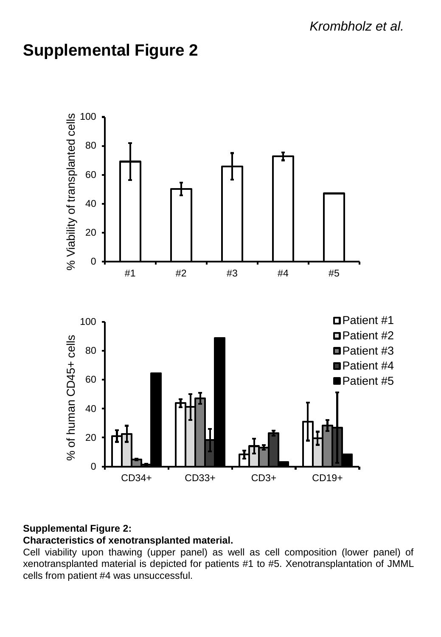

### **Supplemental Figure 2:**

### **Characteristics of xenotransplanted material.**

Cell viability upon thawing (upper panel) as well as cell composition (lower panel) of xenotransplanted material is depicted for patients #1 to #5. Xenotransplantation of JMML cells from patient #4 was unsuccessful.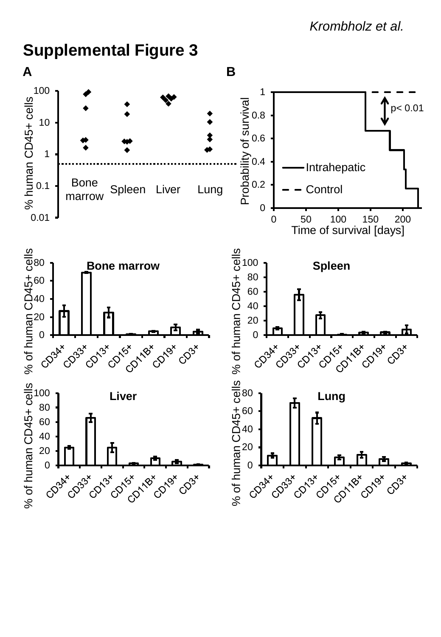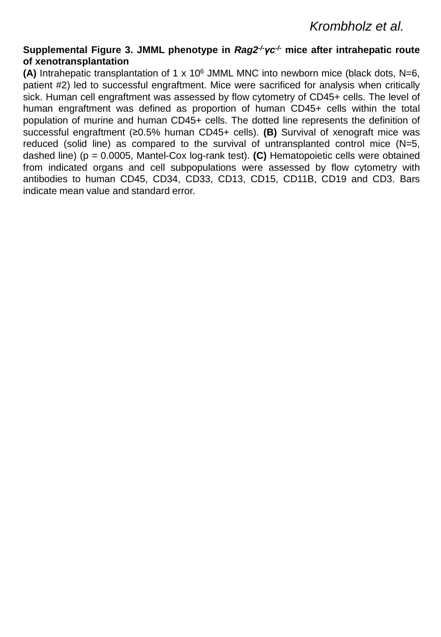#### **Supplemental Figure 3. JMML phenotype in** *Rag2 -/-γc -/-* **mice after intrahepatic route of xenotransplantation**

**(A)** Intrahepatic transplantation of 1 x 10<sup>6</sup> JMML MNC into newborn mice (black dots, N=6, patient #2) led to successful engraftment. Mice were sacrificed for analysis when critically sick. Human cell engraftment was assessed by flow cytometry of CD45+ cells. The level of human engraftment was defined as proportion of human CD45+ cells within the total population of murine and human CD45+ cells. The dotted line represents the definition of successful engraftment (≥0.5% human CD45+ cells). **(B)** Survival of xenograft mice was reduced (solid line) as compared to the survival of untransplanted control mice (N=5, dashed line) (p = 0.0005, Mantel-Cox log-rank test). **(C)** Hematopoietic cells were obtained from indicated organs and cell subpopulations were assessed by flow cytometry with antibodies to human CD45, CD34, CD33, CD13, CD15, CD11B, CD19 and CD3. Bars indicate mean value and standard error.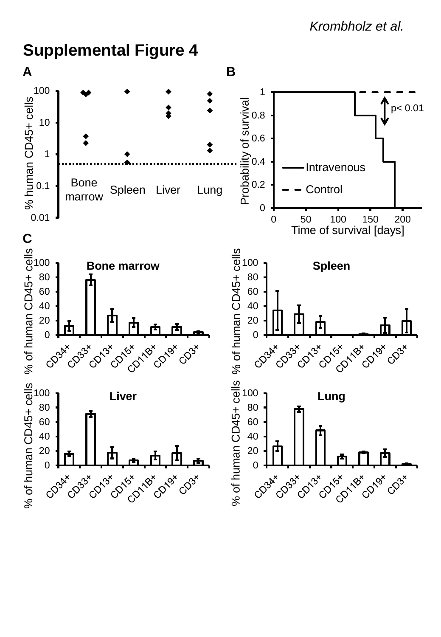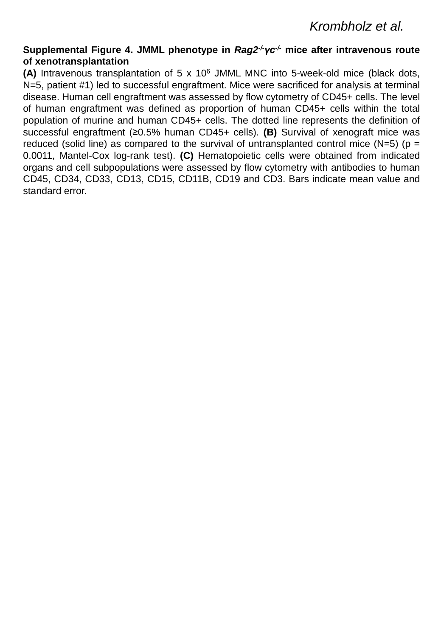#### **Supplemental Figure 4. JMML phenotype in** *Rag2 -/-γc -/-* **mice after intravenous route of xenotransplantation**

**(A)** Intravenous transplantation of 5 x 10<sup>6</sup> JMML MNC into 5-week-old mice (black dots, N=5, patient #1) led to successful engraftment. Mice were sacrificed for analysis at terminal disease. Human cell engraftment was assessed by flow cytometry of CD45+ cells. The level of human engraftment was defined as proportion of human CD45+ cells within the total population of murine and human CD45+ cells. The dotted line represents the definition of successful engraftment (≥0.5% human CD45+ cells). **(B)** Survival of xenograft mice was reduced (solid line) as compared to the survival of untransplanted control mice (N=5) ( $p =$ 0.0011, Mantel-Cox log-rank test). **(C)** Hematopoietic cells were obtained from indicated organs and cell subpopulations were assessed by flow cytometry with antibodies to human CD45, CD34, CD33, CD13, CD15, CD11B, CD19 and CD3. Bars indicate mean value and standard error.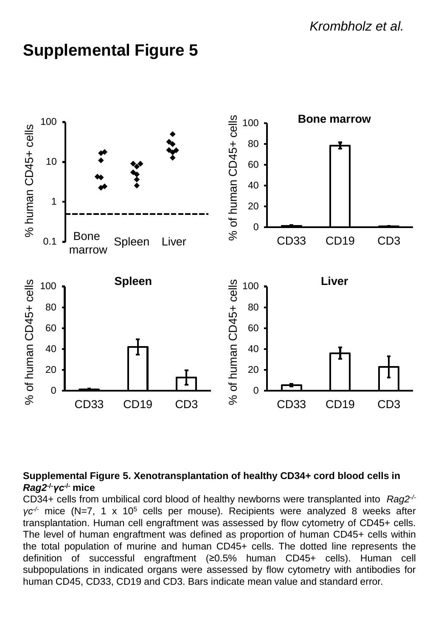

### **Supplemental Figure 5. Xenotransplantation of healthy CD34+ cord blood cells in**  *Rag2***-/-***γc***-/- mice**

CD34+ cells from umbilical cord blood of healthy newborns were transplanted into *Rag2 -/ γc-/-* mice (N=7, 1 x 10<sup>5</sup> cells per mouse). Recipients were analyzed 8 weeks after transplantation. Human cell engraftment was assessed by flow cytometry of CD45+ cells. The level of human engraftment was defined as proportion of human CD45+ cells within the total population of murine and human CD45+ cells. The dotted line represents the definition of successful engraftment (≥0.5% human CD45+ cells). Human cell subpopulations in indicated organs were assessed by flow cytometry with antibodies for human CD45, CD33, CD19 and CD3. Bars indicate mean value and standard error.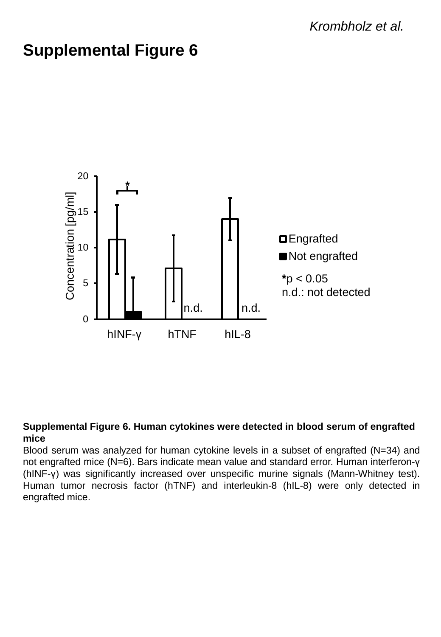

#### **Supplemental Figure 6. Human cytokines were detected in blood serum of engrafted mice**

Blood serum was analyzed for human cytokine levels in a subset of engrafted (N=34) and not engrafted mice (N=6). Bars indicate mean value and standard error. Human interferon-γ (hINF-γ) was significantly increased over unspecific murine signals (Mann-Whitney test). Human tumor necrosis factor (hTNF) and interleukin-8 (hIL-8) were only detected in engrafted mice.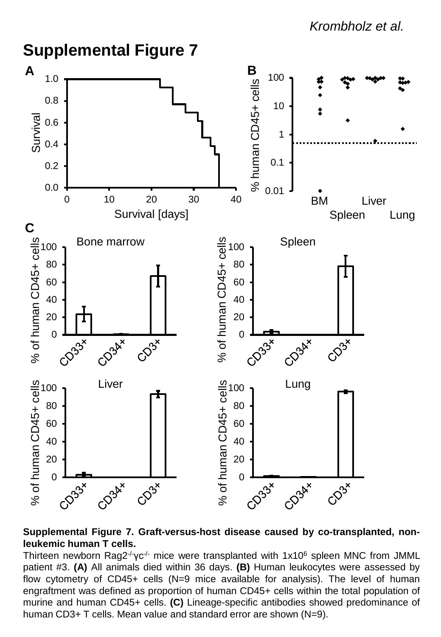### *Krombholz et al.*



#### **Supplemental Figure 7. Graft-versus-host disease caused by co-transplanted, nonleukemic human T cells.**

Thirteen newborn Rag2<sup>-/-</sup>γc<sup>-/-</sup> mice were transplanted with 1x10<sup>6</sup> spleen MNC from JMML patient #3. **(A)** All animals died within 36 days. **(B)** Human leukocytes were assessed by flow cytometry of CD45+ cells (N=9 mice available for analysis). The level of human engraftment was defined as proportion of human CD45+ cells within the total population of murine and human CD45+ cells. **(C)** Lineage-specific antibodies showed predominance of human CD3+ T cells. Mean value and standard error are shown (N=9).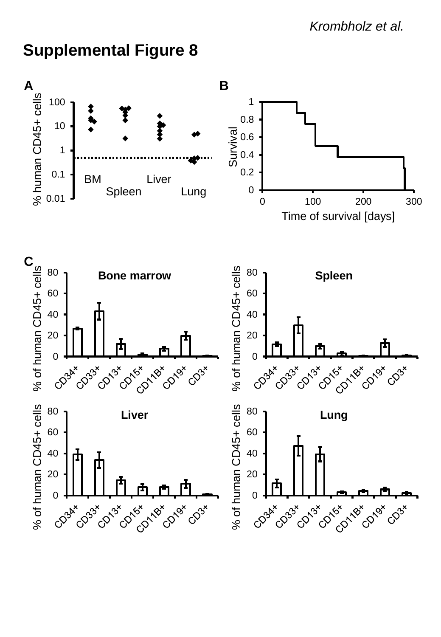